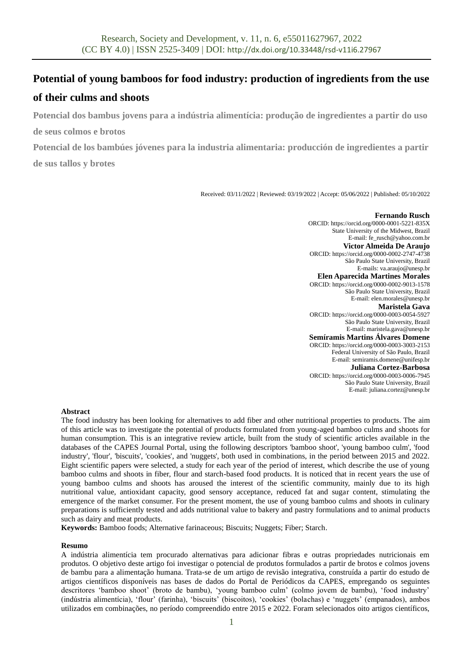# **Potential of young bamboos for food industry: production of ingredients from the use**

## **of their culms and shoots**

**Potencial dos bambus jovens para a indústria alimentícia: produção de ingredientes a partir do uso** 

**de seus colmos e brotos**

**Potencial de los bambúes jóvenes para la industria alimentaria: producción de ingredientes a partir de sus tallos y brotes**

Received: 03/11/2022 | Reviewed: 03/19/2022 | Accept: 05/06/2022 | Published: 05/10/2022

**Fernando Rusch** ORCID: https://orcid.org/0000-0001-5221-835X State University of the Midwest, Brazil E-mail: fe\_rusch@yahoo.com.br **Victor Almeida De Araujo** ORCID: https://orcid.org/0000-0002-2747-4738 São Paulo State University, Brazil E-mails: va.araujo@unesp.br **Elen Aparecida Martines Morales** ORCID: https://orcid.org/0000-0002-9013-1578 São Paulo State University, Brazil E-mail: elen.morales@unesp.br **Maristela Gava** ORCID: https://orcid.org/0000-0003-0054-5927 São Paulo State University, Brazil E-mail: maristela.gava@unesp.br **Semíramis Martins Álvares Domene** ORCID: https://orcid.org/0000-0003-3003-2153 Federal University of São Paulo, Brazil E-mail: semiramis.domene@unifesp.br **Juliana Cortez-Barbosa** ORCID: https://orcid.org/0000-0003-0006-7945 São Paulo State University, Brazil E-mail: juliana.cortez@unesp.br

#### **Abstract**

The food industry has been looking for alternatives to add fiber and other nutritional properties to products. The aim of this article was to investigate the potential of products formulated from young-aged bamboo culms and shoots for human consumption. This is an integrative review article, built from the study of scientific articles available in the databases of the CAPES Journal Portal, using the following descriptors 'bamboo shoot', 'young bamboo culm', 'food industry', 'flour', 'biscuits', 'cookies', and 'nuggets', both used in combinations, in the period between 2015 and 2022. Eight scientific papers were selected, a study for each year of the period of interest, which describe the use of young bamboo culms and shoots in fiber, flour and starch-based food products. It is noticed that in recent years the use of young bamboo culms and shoots has aroused the interest of the scientific community, mainly due to its high nutritional value, antioxidant capacity, good sensory acceptance, reduced fat and sugar content, stimulating the emergence of the market consumer. For the present moment, the use of young bamboo culms and shoots in culinary preparations is sufficiently tested and adds nutritional value to bakery and pastry formulations and to animal products such as dairy and meat products.

**Keywords:** Bamboo foods; Alternative farinaceous; Biscuits; Nuggets; Fiber; Starch.

#### **Resumo**

A indústria alimentícia tem procurado alternativas para adicionar fibras e outras propriedades nutricionais em produtos. O objetivo deste artigo foi investigar o potencial de produtos formulados a partir de brotos e colmos jovens de bambu para a alimentação humana. Trata-se de um artigo de revisão integrativa, construída a partir do estudo de artigos científicos disponíveis nas bases de dados do Portal de Periódicos da CAPES, empregando os seguintes descritores 'bamboo shoot' (broto de bambu), 'young bamboo culm' (colmo jovem de bambu), 'food industry' (indústria alimentícia), 'flour' (farinha), 'biscuits' (biscoitos), 'cookies' (bolachas) e 'nuggets' (empanados), ambos utilizados em combinações, no período compreendido entre 2015 e 2022. Foram selecionados oito artigos científicos,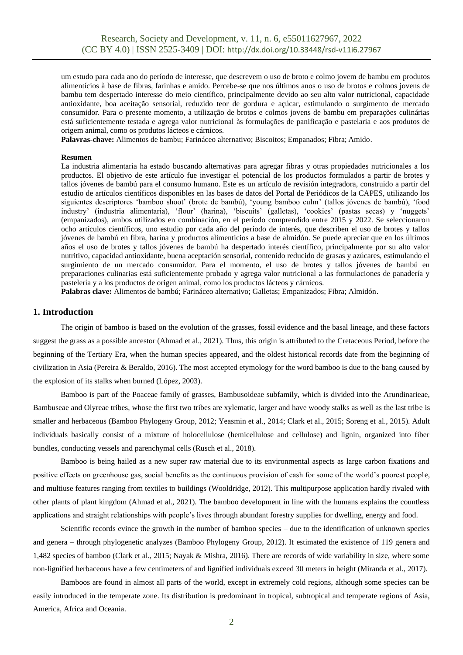um estudo para cada ano do período de interesse, que descrevem o uso de broto e colmo jovem de bambu em produtos alimentícios à base de fibras, farinhas e amido. Percebe-se que nos últimos anos o uso de brotos e colmos jovens de bambu tem despertado interesse do meio científico, principalmente devido ao seu alto valor nutricional, capacidade antioxidante, boa aceitação sensorial, reduzido teor de gordura e açúcar, estimulando o surgimento de mercado consumidor. Para o presente momento, a utilização de brotos e colmos jovens de bambu em preparações culinárias está suficientemente testada e agrega valor nutricional às formulações de panificação e pastelaria e aos produtos de origem animal, como os produtos lácteos e cárnicos.

**Palavras-chave:** Alimentos de bambu; Farináceo alternativo; Biscoitos; Empanados; Fibra; Amido.

#### **Resumen**

La industria alimentaria ha estado buscando alternativas para agregar fibras y otras propiedades nutricionales a los productos. El objetivo de este artículo fue investigar el potencial de los productos formulados a partir de brotes y tallos jóvenes de bambú para el consumo humano. Este es un artículo de revisión integradora, construido a partir del estudio de artículos científicos disponibles en las bases de datos del Portal de Periódicos de la CAPES, utilizando los siguientes descriptores 'bamboo shoot' (brote de bambú), 'young bamboo culm' (tallos jóvenes de bambú), 'food industry' (industria alimentaria), 'flour' (harina), 'biscuits' (galletas), 'cookies' (pastas secas) y 'nuggets' (empanizados), ambos utilizados en combinación, en el período comprendido entre 2015 y 2022. Se seleccionaron ocho artículos científicos, uno estudio por cada año del período de interés, que describen el uso de brotes y tallos jóvenes de bambú en fibra, harina y productos alimenticios a base de almidón. Se puede apreciar que en los últimos años el uso de brotes y tallos jóvenes de bambú ha despertado interés científico, principalmente por su alto valor nutritivo, capacidad antioxidante, buena aceptación sensorial, contenido reducido de grasas y azúcares, estimulando el surgimiento de un mercado consumidor. Para el momento, el uso de brotes y tallos jóvenes de bambú en preparaciones culinarias está suficientemente probado y agrega valor nutricional a las formulaciones de panadería y pastelería y a los productos de origen animal, como los productos lácteos y cárnicos.

**Palabras clave:** Alimentos de bambú; Farináceo alternativo; Galletas; Empanizados; Fibra; Almidón.

#### **1. Introduction**

The origin of bamboo is based on the evolution of the grasses, fossil evidence and the basal lineage, and these factors suggest the grass as a possible ancestor (Ahmad et al., 2021). Thus, this origin is attributed to the Cretaceous Period, before the beginning of the Tertiary Era, when the human species appeared, and the oldest historical records date from the beginning of civilization in Asia (Pereira & Beraldo, 2016). The most accepted etymology for the word bamboo is due to the bang caused by the explosion of its stalks when burned (López, 2003).

Bamboo is part of the Poaceae family of grasses, Bambusoideae subfamily, which is divided into the Arundinarieae, Bambuseae and Olyreae tribes, whose the first two tribes are xylematic, larger and have woody stalks as well as the last tribe is smaller and herbaceous (Bamboo Phylogeny Group, 2012; Yeasmin et al., 2014; Clark et al., 2015; Soreng et al., 2015). Adult individuals basically consist of a mixture of holocellulose (hemicellulose and cellulose) and lignin, organized into fiber bundles, conducting vessels and parenchymal cells (Rusch et al., 2018).

Bamboo is being hailed as a new super raw material due to its environmental aspects as large carbon fixations and positive effects on greenhouse gas, social benefits as the continuous provision of cash for some of the world's poorest people, and multiuse features ranging from textiles to buildings (Wooldridge, 2012). This multipurpose application hardly rivaled with other plants of plant kingdom (Ahmad et al., 2021). The bamboo development in line with the humans explains the countless applications and straight relationships with people's lives through abundant forestry supplies for dwelling, energy and food.

Scientific records evince the growth in the number of bamboo species – due to the identification of unknown species and genera – through phylogenetic analyzes (Bamboo Phylogeny Group, 2012). It estimated the existence of 119 genera and 1,482 species of bamboo (Clark et al., 2015; Nayak & Mishra, 2016). There are records of wide variability in size, where some non-lignified herbaceous have a few centimeters of and lignified individuals exceed 30 meters in height (Miranda et al., 2017).

Bamboos are found in almost all parts of the world, except in extremely cold regions, although some species can be easily introduced in the temperate zone. Its distribution is predominant in tropical, subtropical and temperate regions of Asia, America, Africa and Oceania.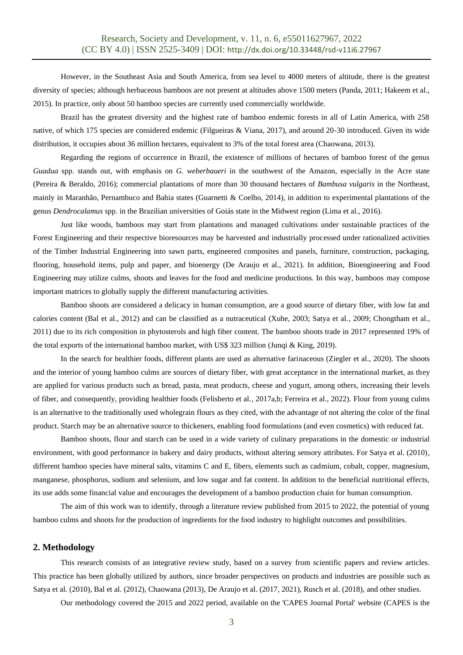However, in the Southeast Asia and South America, from sea level to 4000 meters of altitude, there is the greatest diversity of species; although herbaceous bamboos are not present at altitudes above 1500 meters (Panda, 2011; Hakeem et al., 2015). In practice, only about 50 bamboo species are currently used commercially worldwide.

Brazil has the greatest diversity and the highest rate of bamboo endemic forests in all of Latin America, with 258 native, of which 175 species are considered endemic (Filgueiras & Viana, 2017), and around 20-30 introduced. Given its wide distribution, it occupies about 36 million hectares, equivalent to 3% of the total forest area (Chaowana, 2013).

Regarding the regions of occurrence in Brazil, the existence of millions of hectares of bamboo forest of the genus *Guadua* spp. stands out, with emphasis on *G. weberbaueri* in the southwest of the Amazon, especially in the Acre state (Pereira & Beraldo, 2016); commercial plantations of more than 30 thousand hectares of *Bambusa vulgaris* in the Northeast, mainly in Maranhão, Pernambuco and Bahia states (Guarnetti & Coelho, 2014), in addition to experimental plantations of the genus *Dendrocalamus* spp. in the Brazilian universities of Goiás state in the Midwest region (Lima et al., 2016).

Just like woods, bamboos may start from plantations and managed cultivations under sustainable practices of the Forest Engineering and their respective bioresources may be harvested and industrially processed under rationalized activities of the Timber Industrial Engineering into sawn parts, engineered composites and panels, furniture, construction, packaging, flooring, household items, pulp and paper, and bioenergy (De Araujo et al., 2021). In addition, Bioengineering and Food Engineering may utilize culms, shoots and leaves for the food and medicine productions. In this way, bamboos may compose important matrices to globally supply the different manufacturing activities.

Bamboo shoots are considered a delicacy in human consumption, are a good source of dietary fiber, with low fat and calories content (Bal et al., 2012) and can be classified as a nutraceutical (Xuhe, 2003; Satya et al., 2009; Chongtham et al., 2011) due to its rich composition in phytosterols and high fiber content. The bamboo shoots trade in 2017 represented 19% of the total exports of the international bamboo market, with US\$ 323 million (Junqi & King, 2019).

In the search for healthier foods, different plants are used as alternative farinaceous (Ziegler et al., 2020). The shoots and the interior of young bamboo culms are sources of dietary fiber, with great acceptance in the international market, as they are applied for various products such as bread, pasta, meat products, cheese and yogurt, among others, increasing their levels of fiber, and consequently, providing healthier foods (Felisberto et al., 2017a,b; Ferreira et al., 2022). Flour from young culms is an alternative to the traditionally used wholegrain flours as they cited, with the advantage of not altering the color of the final product. Starch may be an alternative source to thickeners, enabling food formulations (and even cosmetics) with reduced fat.

Bamboo shoots, flour and starch can be used in a wide variety of culinary preparations in the domestic or industrial environment, with good performance in bakery and dairy products, without altering sensory attributes. For Satya et al. (2010), different bamboo species have mineral salts, vitamins C and E, fibers, elements such as cadmium, cobalt, copper, magnesium, manganese, phosphorus, sodium and selenium, and low sugar and fat content. In addition to the beneficial nutritional effects, its use adds some financial value and encourages the development of a bamboo production chain for human consumption.

The aim of this work was to identify, through a literature review published from 2015 to 2022, the potential of young bamboo culms and shoots for the production of ingredients for the food industry to highlight outcomes and possibilities.

#### **2. Methodology**

This research consists of an integrative review study, based on a survey from scientific papers and review articles. This practice has been globally utilized by authors, since broader perspectives on products and industries are possible such as Satya et al. (2010), Bal et al. (2012), Chaowana (2013), De Araujo et al. (2017, 2021), Rusch et al. (2018), and other studies.

Our methodology covered the 2015 and 2022 period, available on the 'CAPES Journal Portal' website (CAPES is the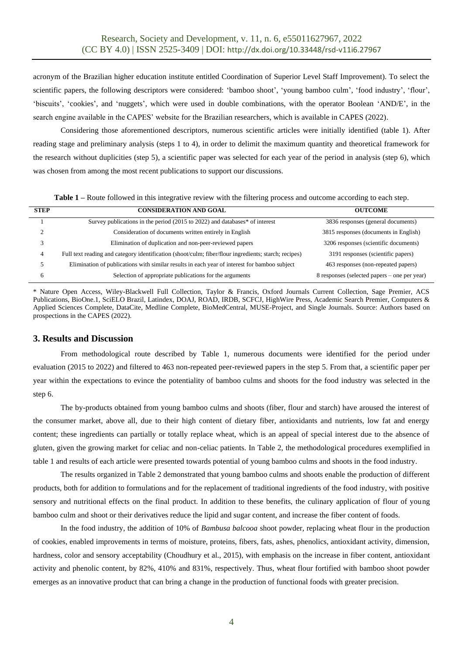acronym of the Brazilian higher education institute entitled Coordination of Superior Level Staff Improvement). To select the scientific papers, the following descriptors were considered: 'bamboo shoot', 'young bamboo culm', 'food industry', 'flour', 'biscuits', 'cookies', and 'nuggets', which were used in double combinations, with the operator Boolean 'AND/E', in the search engine available in the CAPES' website for the Brazilian researchers, which is available in CAPES (2022).

Considering those aforementioned descriptors, numerous scientific articles were initially identified (table 1). After reading stage and preliminary analysis (steps 1 to 4), in order to delimit the maximum quantity and theoretical framework for the research without duplicities (step 5), a scientific paper was selected for each year of the period in analysis (step 6), which was chosen from among the most recent publications to support our discussions.

**Table 1 –** Route followed in this integrative review with the filtering process and outcome according to each step.

| <b>STEP</b> | <b>CONSIDERATION AND GOAL</b>                                                                        | <b>OUTCOME</b>                               |
|-------------|------------------------------------------------------------------------------------------------------|----------------------------------------------|
|             | Survey publications in the period (2015 to 2022) and databases* of interest                          | 3836 responses (general documents)           |
|             | Consideration of documents written entirely in English                                               | 3815 responses (documents in English)        |
|             | Elimination of duplication and non-peer-reviewed papers                                              | 3206 responses (scientific documents)        |
| 4           | Full text reading and category identification (shoot/culm; fiber/flour ingredients; starch; recipes) | 3191 responses (scientific papers)           |
|             | Elimination of publications with similar results in each year of interest for bamboo subject         | 463 responses (non-repeated papers)          |
|             | Selection of appropriate publications for the arguments                                              | 8 responses (selected papers – one per year) |

\* Nature Open Access, Wiley-Blackwell Full Collection, Taylor & Francis, Oxford Journals Current Collection, Sage Premier, ACS Publications, BioOne.1, SciELO Brazil, Latindex, DOAJ, ROAD, IRDB, SCFCJ, HighWire Press, Academic Search Premier, Computers & Applied Sciences Complete, DataCite, Medline Complete, BioMedCentral, MUSE-Project, and Single Journals. Source: Authors based on prospections in the CAPES (2022).

### **3. Results and Discussion**

From methodological route described by Table 1, numerous documents were identified for the period under evaluation (2015 to 2022) and filtered to 463 non-repeated peer-reviewed papers in the step 5. From that, a scientific paper per year within the expectations to evince the potentiality of bamboo culms and shoots for the food industry was selected in the step 6.

The by-products obtained from young bamboo culms and shoots (fiber, flour and starch) have aroused the interest of the consumer market, above all, due to their high content of dietary fiber, antioxidants and nutrients, low fat and energy content; these ingredients can partially or totally replace wheat, which is an appeal of special interest due to the absence of gluten, given the growing market for celiac and non-celiac patients. In Table 2, the methodological procedures exemplified in table 1 and results of each article were presented towards potential of young bamboo culms and shoots in the food industry.

The results organized in Table 2 demonstrated that young bamboo culms and shoots enable the production of different products, both for addition to formulations and for the replacement of traditional ingredients of the food industry, with positive sensory and nutritional effects on the final product. In addition to these benefits, the culinary application of flour of young bamboo culm and shoot or their derivatives reduce the lipid and sugar content, and increase the fiber content of foods.

In the food industry, the addition of 10% of *Bambusa balcooa* shoot powder, replacing wheat flour in the production of cookies, enabled improvements in terms of moisture, proteins, fibers, fats, ashes, phenolics, antioxidant activity, dimension, hardness, color and sensory acceptability (Choudhury et al., 2015), with emphasis on the increase in fiber content, antioxidant activity and phenolic content, by 82%, 410% and 831%, respectively. Thus, wheat flour fortified with bamboo shoot powder emerges as an innovative product that can bring a change in the production of functional foods with greater precision.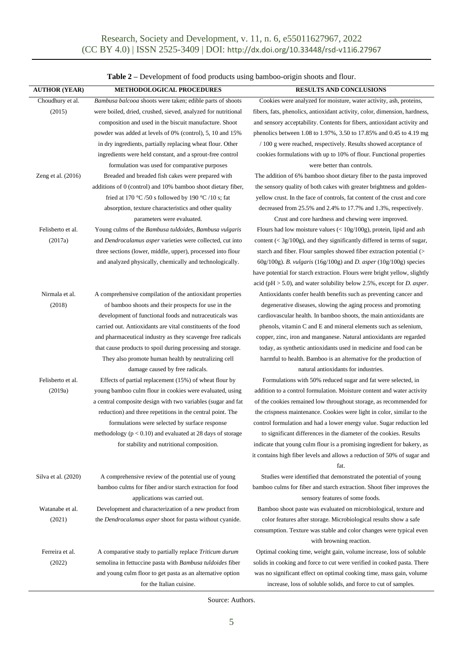| <b>AUTHOR (YEAR)</b> | METHODOLOGICAL PROCEDURES                                         | RESULTS AND CONCLUSIONS                                                           |
|----------------------|-------------------------------------------------------------------|-----------------------------------------------------------------------------------|
| Choudhury et al.     | <i>Bambusa balcooa</i> shoots were taken; edible parts of shoots  | Cookies were analyzed for moisture, water activity, ash, proteins,                |
| (2015)               | were boiled, dried, crushed, sieved, analyzed for nutritional     | fibers, fats, phenolics, antioxidant activity, color, dimension, hardness,        |
|                      | composition and used in the biscuit manufacture. Shoot            | and sensory acceptability. Contents for fibers, antioxidant activity and          |
|                      | powder was added at levels of 0% (control), 5, 10 and 15%         | phenolics between 1.08 to 1.97%, 3.50 to 17.85% and 0.45 to 4.19 mg               |
|                      | in dry ingredients, partially replacing wheat flour. Other        | / 100 g were reached, respectively. Results showed acceptance of                  |
|                      | ingredients were held constant, and a sprout-free control         | cookies formulations with up to 10% of flour. Functional properties               |
|                      | formulation was used for comparative purposes                     | were better than controls.                                                        |
| Zeng et al. $(2016)$ | Breaded and breaded fish cakes were prepared with                 | The addition of 6% bamboo shoot dietary fiber to the pasta improved               |
|                      | additions of 0 (control) and 10% bamboo shoot dietary fiber,      | the sensory quality of both cakes with greater brightness and golden-             |
|                      | fried at 170 °C /50 s followed by 190 °C /10 s; fat               | yellow crust. In the face of controls, fat content of the crust and core          |
|                      | absorption, texture characteristics and other quality             | decreased from 25.5% and 2.4% to 17.7% and 1.3%, respectively.                    |
|                      | parameters were evaluated.                                        | Crust and core hardness and chewing were improved.                                |
| Felisberto et al.    | Young culms of the Bambusa tuldoides, Bambusa vulgaris            | Flours had low moisture values $(< 10g/100g)$ , protein, lipid and ash            |
| (2017a)              | and <i>Dendrocalamus asper</i> varieties were collected, cut into | content $(<$ 3g/100g), and they significantly differed in terms of sugar,         |
|                      | three sections (lower, middle, upper), processed into flour       | starch and fiber. Flour samples showed fiber extraction potential (>              |
|                      | and analyzed physically, chemically and technologically.          | 60g/100g). B. vulgaris (16g/100g) and D. asper (10g/100g) species                 |
|                      |                                                                   | have potential for starch extraction. Flours were bright yellow, slightly         |
|                      |                                                                   | acid ( $pH > 5.0$ ), and water solubility below 2.5%, except for <i>D. asper.</i> |
| Nirmala et al.       | A comprehensive compilation of the antioxidant properties         | Antioxidants confer health benefits such as preventing cancer and                 |
| (2018)               | of bamboo shoots and their prospects for use in the               | degenerative diseases, slowing the aging process and promoting                    |
|                      | development of functional foods and nutraceuticals was            | cardiovascular health. In bamboo shoots, the main antioxidants are                |
|                      | carried out. Antioxidants are vital constituents of the food      | phenols, vitamin C and E and mineral elements such as selenium,                   |
|                      | and pharmaceutical industry as they scavenge free radicals        | copper, zinc, iron and manganese. Natural antioxidants are regarded               |
|                      | that cause products to spoil during processing and storage.       | today, as synthetic antioxidants used in medicine and food can be                 |
|                      | They also promote human health by neutralizing cell               | harmful to health. Bamboo is an alternative for the production of                 |
|                      | damage caused by free radicals.                                   | natural antioxidants for industries.                                              |
| Felisberto et al.    | Effects of partial replacement (15%) of wheat flour by            | Formulations with 50% reduced sugar and fat were selected, in                     |
| (2019a)              | young bamboo culm flour in cookies were evaluated, using          | addition to a control formulation. Moisture content and water activity            |
|                      | a central composite design with two variables (sugar and fat      | of the cookies remained low throughout storage, as recommended for                |
|                      | reduction) and three repetitions in the central point. The        | the crispness maintenance. Cookies were light in color, similar to the            |
|                      | formulations were selected by surface response                    | control formulation and had a lower energy value. Sugar reduction led             |
|                      | methodology ( $p < 0.10$ ) and evaluated at 28 days of storage    | to significant differences in the diameter of the cookies. Results                |
|                      | for stability and nutritional composition.                        | indicate that young culm flour is a promising ingredient for bakery, as           |
|                      |                                                                   | it contains high fiber levels and allows a reduction of 50% of sugar and          |
|                      |                                                                   | fat.                                                                              |
| Silva et al. (2020)  | A comprehensive review of the potential use of young              | Studies were identified that demonstrated the potential of young                  |
|                      | bamboo culms for fiber and/or starch extraction for food          | bamboo culms for fiber and starch extraction. Shoot fiber improves the            |
|                      | applications was carried out.                                     | sensory features of some foods.                                                   |
| Watanabe et al.      | Development and characterization of a new product from            | Bamboo shoot paste was evaluated on microbiological, texture and                  |
| (2021)               | the Dendrocalamus asper shoot for pasta without cyanide.          | color features after storage. Microbiological results show a safe                 |
|                      |                                                                   | consumption. Texture was stable and color changes were typical even               |
|                      |                                                                   | with browning reaction.                                                           |
| Ferreira et al.      | A comparative study to partially replace Triticum durum           | Optimal cooking time, weight gain, volume increase, loss of soluble               |
| (2022)               | semolina in fettuccine pasta with <i>Bambusa tuldoides</i> fiber  | solids in cooking and force to cut were verified in cooked pasta. There           |
|                      | and young culm floor to get pasta as an alternative option        | was no significant effect on optimal cooking time, mass gain, volume              |
|                      | for the Italian cuisine.                                          | increase, loss of soluble solids, and force to cut of samples.                    |

**Table 2 –** Development of food products using bamboo-origin shoots and flour.

Source: Authors.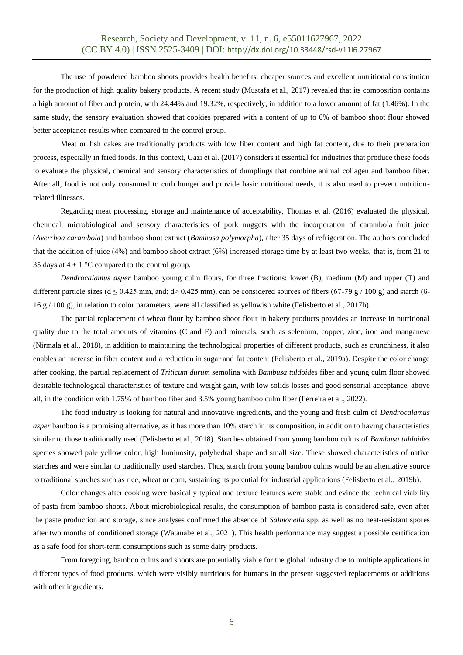The use of powdered bamboo shoots provides health benefits, cheaper sources and excellent nutritional constitution for the production of high quality bakery products. A recent study (Mustafa et al., 2017) revealed that its composition contains a high amount of fiber and protein, with 24.44% and 19.32%, respectively, in addition to a lower amount of fat (1.46%). In the same study, the sensory evaluation showed that cookies prepared with a content of up to 6% of bamboo shoot flour showed better acceptance results when compared to the control group.

Meat or fish cakes are traditionally products with low fiber content and high fat content, due to their preparation process, especially in fried foods. In this context, Gazi et al. (2017) considers it essential for industries that produce these foods to evaluate the physical, chemical and sensory characteristics of dumplings that combine animal collagen and bamboo fiber. After all, food is not only consumed to curb hunger and provide basic nutritional needs, it is also used to prevent nutritionrelated illnesses.

Regarding meat processing, storage and maintenance of acceptability, Thomas et al. (2016) evaluated the physical, chemical, microbiological and sensory characteristics of pork nuggets with the incorporation of carambola fruit juice (*Averrhoa carambola*) and bamboo shoot extract (*Bambusa polymorpha*), after 35 days of refrigeration. The authors concluded that the addition of juice (4%) and bamboo shoot extract (6%) increased storage time by at least two weeks, that is, from 21 to 35 days at  $4 \pm 1$  °C compared to the control group.

*Dendrocalamus asper* bamboo young culm flours, for three fractions: lower (B), medium (M) and upper (T) and different particle sizes ( $d \le 0.425$  mm, and;  $d > 0.425$  mm), can be considered sources of fibers (67-79 g / 100 g) and starch (6-16 g / 100 g), in relation to color parameters, were all classified as yellowish white (Felisberto et al., 2017b).

The partial replacement of wheat flour by bamboo shoot flour in bakery products provides an increase in nutritional quality due to the total amounts of vitamins (C and E) and minerals, such as selenium, copper, zinc, iron and manganese (Nirmala et al., 2018), in addition to maintaining the technological properties of different products, such as crunchiness, it also enables an increase in fiber content and a reduction in sugar and fat content (Felisberto et al., 2019a). Despite the color change after cooking, the partial replacement of *Triticum durum* semolina with *Bambusa tuldoides* fiber and young culm floor showed desirable technological characteristics of texture and weight gain, with low solids losses and good sensorial acceptance, above all, in the condition with 1.75% of bamboo fiber and 3.5% young bamboo culm fiber (Ferreira et al., 2022).

The food industry is looking for natural and innovative ingredients, and the young and fresh culm of *Dendrocalamus asper* bamboo is a promising alternative, as it has more than 10% starch in its composition, in addition to having characteristics similar to those traditionally used (Felisberto et al., 2018). Starches obtained from young bamboo culms of *Bambusa tuldoides* species showed pale yellow color, high luminosity, polyhedral shape and small size. These showed characteristics of native starches and were similar to traditionally used starches. Thus, starch from young bamboo culms would be an alternative source to traditional starches such as rice, wheat or corn, sustaining its potential for industrial applications (Felisberto et al., 2019b).

Color changes after cooking were basically typical and texture features were stable and evince the technical viability of pasta from bamboo shoots. About microbiological results, the consumption of bamboo pasta is considered safe, even after the paste production and storage, since analyses confirmed the absence of *Salmonella* spp. as well as no heat-resistant spores after two months of conditioned storage (Watanabe et al., 2021). This health performance may suggest a possible certification as a safe food for short-term consumptions such as some dairy products.

From foregoing, bamboo culms and shoots are potentially viable for the global industry due to multiple applications in different types of food products, which were visibly nutritious for humans in the present suggested replacements or additions with other ingredients.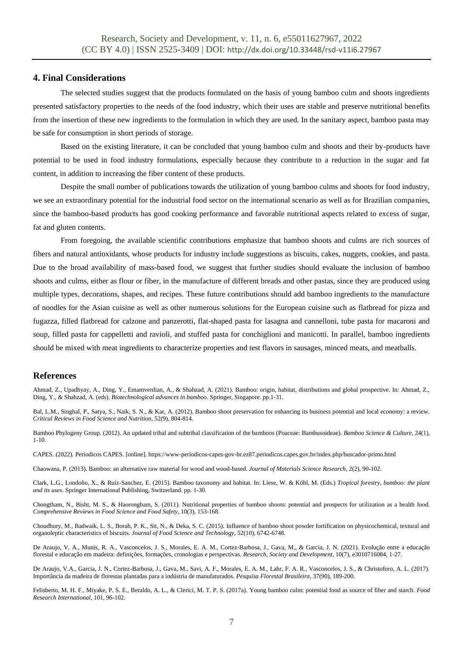### **4. Final Considerations**

The selected studies suggest that the products formulated on the basis of young bamboo culm and shoots ingredients presented satisfactory properties to the needs of the food industry, which their uses are stable and preserve nutritional benefits from the insertion of these new ingredients to the formulation in which they are used. In the sanitary aspect, bamboo pasta may be safe for consumption in short periods of storage.

Based on the existing literature, it can be concluded that young bamboo culm and shoots and their by-products have potential to be used in food industry formulations, especially because they contribute to a reduction in the sugar and fat content, in addition to increasing the fiber content of these products.

Despite the small number of publications towards the utilization of young bamboo culms and shoots for food industry, we see an extraordinary potential for the industrial food sector on the international scenario as well as for Brazilian companies, since the bamboo-based products has good cooking performance and favorable nutritional aspects related to excess of sugar, fat and gluten contents.

From foregoing, the available scientific contributions emphasize that bamboo shoots and culms are rich sources of fibers and natural antioxidants, whose products for industry include suggestions as biscuits, cakes, nuggets, cookies, and pasta. Due to the broad availability of mass-based food, we suggest that further studies should evaluate the inclusion of bamboo shoots and culms, either as flour or fiber, in the manufacture of different breads and other pastas, since they are produced using multiple types, decorations, shapes, and recipes. These future contributions should add bamboo ingredients to the manufacture of noodles for the Asian cuisine as well as other numerous solutions for the European cuisine such as flatbread for pizza and fugazza, filled flatbread for calzone and panzerotti, flat-shaped pasta for lasagna and cannelloni, tube pasta for macaroni and soup, filled pasta for cappelletti and ravioli, and stuffed pasta for conchiglioni and manicotti. In parallel, bamboo ingredients should be mixed with meat ingredients to characterize properties and test flavors in sausages, minced meats, and meatballs.

#### **References**

Ahmad, Z., Upadhyay, A., Ding, Y., Emamverdian, A., & Shahzad, A. (2021). Bamboo: origin, habitat, distributions and global prospective. In: Ahmad, Z., Ding, Y., & Shahzad, A. (eds). *Biotechnological advances in bamboo*. Springer, Singapore. pp.1-31.

Bal, L.M., Singhal, P., Satya, S., Naik, S. N., & Kar, A. (2012). Bamboo shoot preservation for enhancing its business potential and local economy: a review. *Critical Reviews in Food Science and Nutrition*, 52(9), 804-814.

Bamboo Phylogeny Group. (2012). An updated tribal and subtribal classification of the bamboos (Poaceae: Bambusoideae). *Bamboo Science & Culture*, 24(1), 1-10.

CAPES. (2022). Periodicos CAPES. [online]. https://www-periodicos-capes-gov-br.ez87.periodicos.capes.gov.br/index.php/buscador-primo.html

Chaowana, P. (2013). Bamboo: an alternative raw material for wood and wood-based. *Journal of Materials Science Research*, 2(2), 90-102.

Clark, L.G., Londoño, X., & Ruiz-Sanchez, E. (2015). Bamboo taxonomy and habitat. In: Liese, W. & Köhl, M. (Eds.) *Tropical forestry, bamboo: the plant and its uses*. Springer International Publishing, Switzerland. pp. 1-30.

Chongtham, N., Bisht, M. S., & Haorongbam, S. (2011). Nutritional properties of bamboo shoots: potential and prospects for utilization as a health food. *Comprehensive Reviews in Food Science and Food Safety*, 10(3), 153-168.

Choudhury, M., Badwaik, L. S., Borah, P. K., Sit, N., & Deka, S. C. (2015). Influence of bamboo shoot powder fortification on physicochemical, textural and organoleptic characteristics of biscuits. *Journal of Food Science and Technology*, 52(10), 6742-6748.

De Araujo, V. A., Munis, R. A., Vasconcelos, J. S., Morales, E. A. M., Cortez-Barbosa, J., Gava, M., & Garcia, J. N. (2021). Evolução entre a educação florestal e educação em madeira: definições, formações, cronologias e perspectivas. *Research, Society and Development*, 10(7), e3010716084, 1-27.

De Araujo, V.A., Garcia, J. N., Cortez-Barbosa, J., Gava, M., Savi, A. F., Morales, E. A. M., Lahr, F. A. R., Vasconcelos, J. S., & Christoforo, A. L. (2017). Importância da madeira de florestas plantadas para a indústria de manufaturados. *Pesquisa Florestal Brasileira*, 37(90), 189-200.

Felisberto, M. H. F., Miyake, P. S. E., Beraldo, A. L., & Clerici, M. T. P. S. (2017a). Young bamboo culm: potential food as source of fiber and starch. *Food Research International*, 101, 96-102.